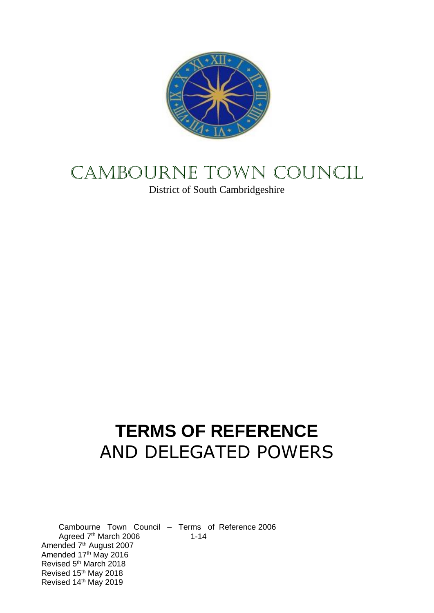

# CAMBOURNE TOWN COUNCIL

District of South Cambridgeshire

# **TERMS OF REFERENCE**  AND DELEGATED POWERS

Cambourne Town Council – Terms of Reference 2006 Agreed  $7<sup>th</sup>$  March 2006 1-14 Amended 7<sup>th</sup> August 2007 Amended 17th May 2016 Revised 5th March 2018 Revised 15th May 2018 Revised 14th May 2019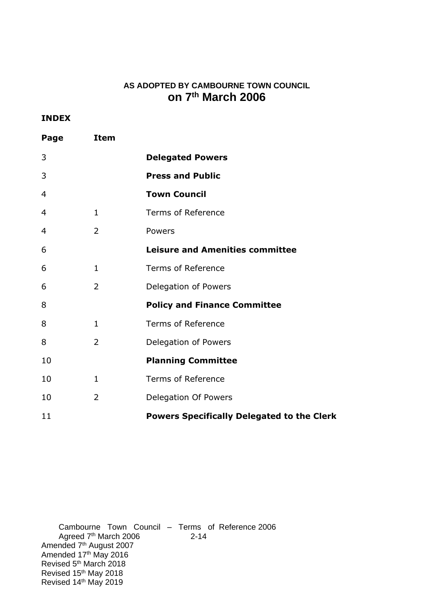## **AS ADOPTED BY CAMBOURNE TOWN COUNCIL on 7 th March 2006**

#### **INDEX**

| Page           | <b>Item</b>    |                                                   |
|----------------|----------------|---------------------------------------------------|
| 3              |                | <b>Delegated Powers</b>                           |
| 3              |                | <b>Press and Public</b>                           |
| 4              |                | <b>Town Council</b>                               |
| $\overline{4}$ | $\mathbf{1}$   | <b>Terms of Reference</b>                         |
| 4              | $\overline{2}$ | Powers                                            |
| 6              |                | <b>Leisure and Amenities committee</b>            |
| 6              | $\mathbf{1}$   | <b>Terms of Reference</b>                         |
| 6              | $\overline{2}$ | Delegation of Powers                              |
| 8              |                | <b>Policy and Finance Committee</b>               |
| 8              | $\mathbf{1}$   | <b>Terms of Reference</b>                         |
| 8              | $\overline{2}$ | Delegation of Powers                              |
| 10             |                | <b>Planning Committee</b>                         |
| 10             | 1              | <b>Terms of Reference</b>                         |
| 10             | $\overline{2}$ | Delegation Of Powers                              |
| 11             |                | <b>Powers Specifically Delegated to the Clerk</b> |

Cambourne Town Council – Terms of Reference 2006 Agreed 7<sup>th</sup> March 2006 2-14 Amended 7<sup>th</sup> August 2007 Amended 17<sup>th</sup> May 2016 Revised 5<sup>th</sup> March 2018 Revised 15<sup>th</sup> May 2018 Revised 14th May 2019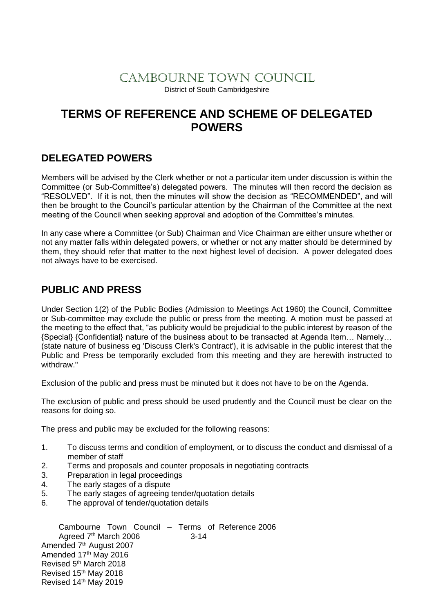# CAMBOURNE TOWN COUNCIL

District of South Cambridgeshire

# **TERMS OF REFERENCE AND SCHEME OF DELEGATED POWERS**

## **DELEGATED POWERS**

Members will be advised by the Clerk whether or not a particular item under discussion is within the Committee (or Sub-Committee's) delegated powers. The minutes will then record the decision as "RESOLVED". If it is not, then the minutes will show the decision as "RECOMMENDED", and will then be brought to the Council's particular attention by the Chairman of the Committee at the next meeting of the Council when seeking approval and adoption of the Committee's minutes.

In any case where a Committee (or Sub) Chairman and Vice Chairman are either unsure whether or not any matter falls within delegated powers, or whether or not any matter should be determined by them, they should refer that matter to the next highest level of decision. A power delegated does not always have to be exercised.

## **PUBLIC AND PRESS**

Under Section 1(2) of the Public Bodies (Admission to Meetings Act 1960) the Council, Committee or Sub-committee may exclude the public or press from the meeting. A motion must be passed at the meeting to the effect that, "as publicity would be prejudicial to the public interest by reason of the {Special} {Confidential} nature of the business about to be transacted at Agenda Item… Namely… (state nature of business eg 'Discuss Clerk's Contract'), it is advisable in the public interest that the Public and Press be temporarily excluded from this meeting and they are herewith instructed to withdraw."

Exclusion of the public and press must be minuted but it does not have to be on the Agenda.

The exclusion of public and press should be used prudently and the Council must be clear on the reasons for doing so.

The press and public may be excluded for the following reasons:

- 1. To discuss terms and condition of employment, or to discuss the conduct and dismissal of a member of staff
- 2. Terms and proposals and counter proposals in negotiating contracts
- 3. Preparation in legal proceedings
- 4. The early stages of a dispute
- 5. The early stages of agreeing tender/quotation details
- 6. The approval of tender/quotation details

Cambourne Town Council – Terms of Reference 2006 Agreed 7<sup>th</sup> March 2006 3-14 Amended 7<sup>th</sup> August 2007 Amended 17th May 2016 Revised 5th March 2018 Revised 15th May 2018 Revised 14th May 2019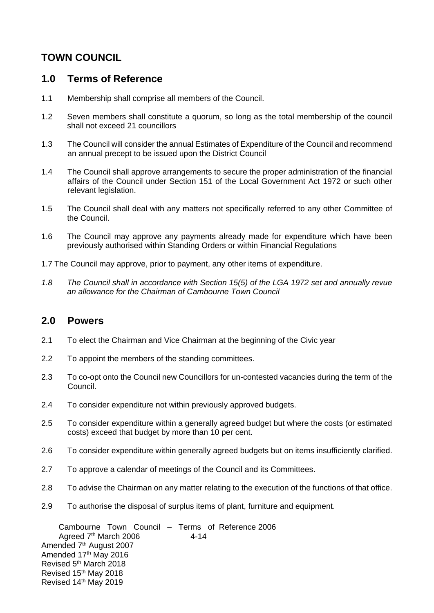# **TOWN COUNCIL**

## **1.0 Terms of Reference**

- 1.1 Membership shall comprise all members of the Council.
- 1.2 Seven members shall constitute a quorum, so long as the total membership of the council shall not exceed 21 councillors
- 1.3 The Council will consider the annual Estimates of Expenditure of the Council and recommend an annual precept to be issued upon the District Council
- 1.4 The Council shall approve arrangements to secure the proper administration of the financial affairs of the Council under Section 151 of the Local Government Act 1972 or such other relevant legislation.
- 1.5 The Council shall deal with any matters not specifically referred to any other Committee of the Council.
- 1.6 The Council may approve any payments already made for expenditure which have been previously authorised within Standing Orders or within Financial Regulations
- 1.7 The Council may approve, prior to payment, any other items of expenditure.
- *1.8 The Council shall in accordance with Section 15(5) of the LGA 1972 set and annually revue an allowance for the Chairman of Cambourne Town Council*

#### **2.0 Powers**

- 2.1 To elect the Chairman and Vice Chairman at the beginning of the Civic year
- 2.2 To appoint the members of the standing committees.
- 2.3 To co-opt onto the Council new Councillors for un-contested vacancies during the term of the Council.
- 2.4 To consider expenditure not within previously approved budgets.
- 2.5 To consider expenditure within a generally agreed budget but where the costs (or estimated costs) exceed that budget by more than 10 per cent.
- 2.6 To consider expenditure within generally agreed budgets but on items insufficiently clarified.
- 2.7 To approve a calendar of meetings of the Council and its Committees.
- 2.8 To advise the Chairman on any matter relating to the execution of the functions of that office.
- 2.9 To authorise the disposal of surplus items of plant, furniture and equipment.

Cambourne Town Council – Terms of Reference 2006 Agreed  $7<sup>th</sup>$  March 2006  $4-14$ Amended 7<sup>th</sup> August 2007 Amended 17th May 2016 Revised 5th March 2018 Revised 15th May 2018 Revised 14th May 2019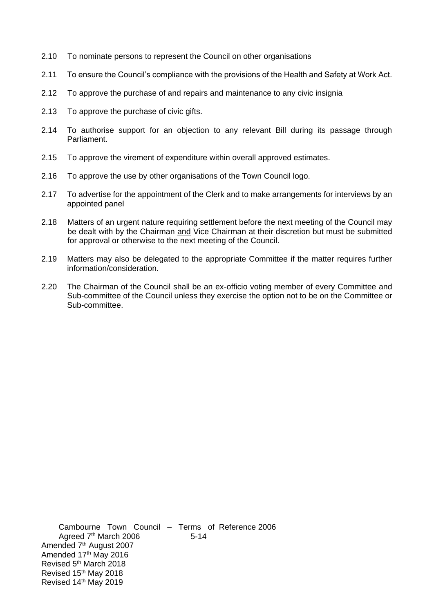- 2.10 To nominate persons to represent the Council on other organisations
- 2.11 To ensure the Council's compliance with the provisions of the Health and Safety at Work Act.
- 2.12 To approve the purchase of and repairs and maintenance to any civic insignia
- 2.13 To approve the purchase of civic gifts.
- 2.14 To authorise support for an objection to any relevant Bill during its passage through Parliament.
- 2.15 To approve the virement of expenditure within overall approved estimates.
- 2.16 To approve the use by other organisations of the Town Council logo.
- 2.17 To advertise for the appointment of the Clerk and to make arrangements for interviews by an appointed panel
- 2.18 Matters of an urgent nature requiring settlement before the next meeting of the Council may be dealt with by the Chairman and Vice Chairman at their discretion but must be submitted for approval or otherwise to the next meeting of the Council.
- 2.19 Matters may also be delegated to the appropriate Committee if the matter requires further information/consideration.
- 2.20 The Chairman of the Council shall be an ex-officio voting member of every Committee and Sub-committee of the Council unless they exercise the option not to be on the Committee or Sub-committee.

Cambourne Town Council – Terms of Reference 2006 Agreed 7<sup>th</sup> March 2006 5-14 Amended 7<sup>th</sup> August 2007 Amended 17th May 2016 Revised 5th March 2018 Revised 15th May 2018 Revised 14th May 2019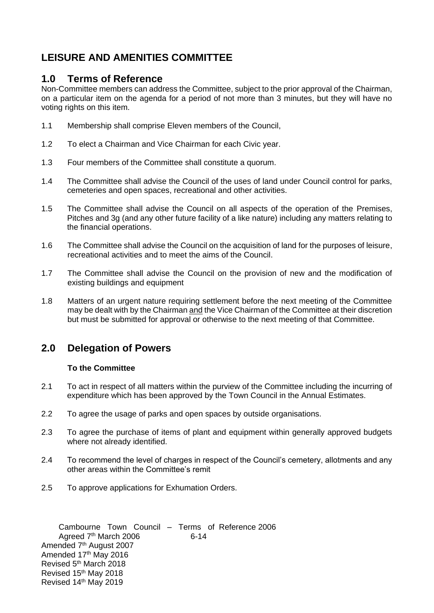# **LEISURE AND AMENITIES COMMITTEE**

## **1.0 Terms of Reference**

Non-Committee members can address the Committee, subject to the prior approval of the Chairman, on a particular item on the agenda for a period of not more than 3 minutes, but they will have no voting rights on this item.

- 1.1 Membership shall comprise Eleven members of the Council,
- 1.2 To elect a Chairman and Vice Chairman for each Civic year.
- 1.3 Four members of the Committee shall constitute a quorum.
- 1.4 The Committee shall advise the Council of the uses of land under Council control for parks, cemeteries and open spaces, recreational and other activities.
- 1.5 The Committee shall advise the Council on all aspects of the operation of the Premises, Pitches and 3g (and any other future facility of a like nature) including any matters relating to the financial operations.
- 1.6 The Committee shall advise the Council on the acquisition of land for the purposes of leisure, recreational activities and to meet the aims of the Council.
- 1.7 The Committee shall advise the Council on the provision of new and the modification of existing buildings and equipment
- 1.8 Matters of an urgent nature requiring settlement before the next meeting of the Committee may be dealt with by the Chairman and the Vice Chairman of the Committee at their discretion but must be submitted for approval or otherwise to the next meeting of that Committee.

## **2.0 Delegation of Powers**

#### **To the Committee**

- 2.1 To act in respect of all matters within the purview of the Committee including the incurring of expenditure which has been approved by the Town Council in the Annual Estimates.
- 2.2 To agree the usage of parks and open spaces by outside organisations.
- 2.3 To agree the purchase of items of plant and equipment within generally approved budgets where not already identified.
- 2.4 To recommend the level of charges in respect of the Council's cemetery, allotments and any other areas within the Committee's remit
- 2.5 To approve applications for Exhumation Orders.

Cambourne Town Council – Terms of Reference 2006 Agreed  $7<sup>th</sup>$  March 2006 6-14 Amended 7<sup>th</sup> August 2007 Amended 17th May 2016 Revised 5th March 2018 Revised 15th May 2018 Revised 14th May 2019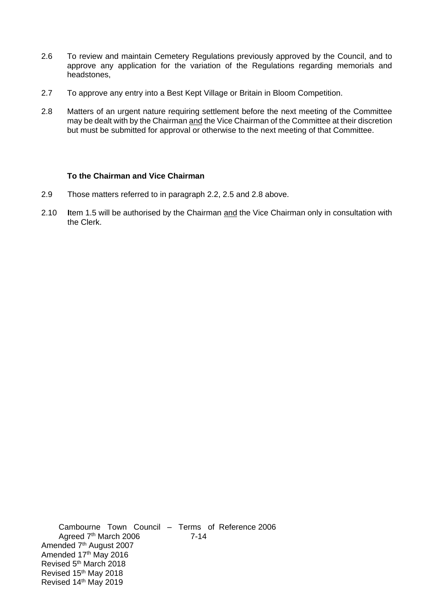- 2.6 To review and maintain Cemetery Regulations previously approved by the Council, and to approve any application for the variation of the Regulations regarding memorials and headstones,
- 2.7 To approve any entry into a Best Kept Village or Britain in Bloom Competition.
- 2.8 Matters of an urgent nature requiring settlement before the next meeting of the Committee may be dealt with by the Chairman and the Vice Chairman of the Committee at their discretion but must be submitted for approval or otherwise to the next meeting of that Committee.

#### **To the Chairman and Vice Chairman**

- 2.9 Those matters referred to in paragraph 2.2, 2.5 and 2.8 above.
- 2.10 **I**tem 1.5 will be authorised by the Chairman and the Vice Chairman only in consultation with the Clerk.

Cambourne Town Council – Terms of Reference 2006 Agreed 7<sup>th</sup> March 2006 7-14 Amended 7<sup>th</sup> August 2007 Amended 17<sup>th</sup> May 2016 Revised 5th March 2018 Revised 15th May 2018 Revised 14th May 2019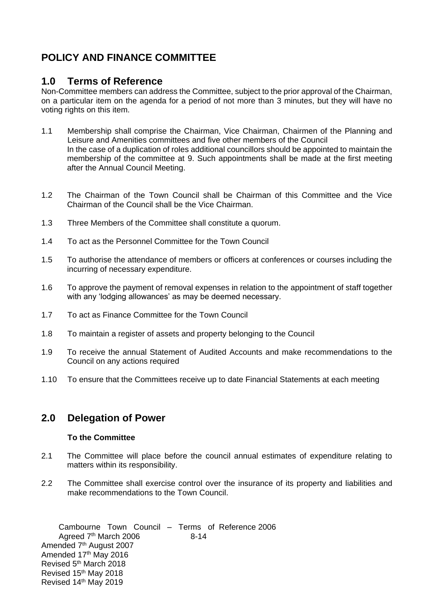# **POLICY AND FINANCE COMMITTEE**

## **1.0 Terms of Reference**

Non-Committee members can address the Committee, subject to the prior approval of the Chairman, on a particular item on the agenda for a period of not more than 3 minutes, but they will have no voting rights on this item.

- 1.1 Membership shall comprise the Chairman, Vice Chairman, Chairmen of the Planning and Leisure and Amenities committees and five other members of the Council In the case of a duplication of roles additional councillors should be appointed to maintain the membership of the committee at 9. Such appointments shall be made at the first meeting after the Annual Council Meeting.
- 1.2 The Chairman of the Town Council shall be Chairman of this Committee and the Vice Chairman of the Council shall be the Vice Chairman.
- 1.3 Three Members of the Committee shall constitute a quorum.
- 1.4 To act as the Personnel Committee for the Town Council
- 1.5 To authorise the attendance of members or officers at conferences or courses including the incurring of necessary expenditure.
- 1.6 To approve the payment of removal expenses in relation to the appointment of staff together with any 'lodging allowances' as may be deemed necessary.
- 1.7 To act as Finance Committee for the Town Council
- 1.8 To maintain a register of assets and property belonging to the Council
- 1.9 To receive the annual Statement of Audited Accounts and make recommendations to the Council on any actions required
- 1.10 To ensure that the Committees receive up to date Financial Statements at each meeting

## **2.0 Delegation of Power**

#### **To the Committee**

- 2.1 The Committee will place before the council annual estimates of expenditure relating to matters within its responsibility.
- 2.2 The Committee shall exercise control over the insurance of its property and liabilities and make recommendations to the Town Council.

Cambourne Town Council – Terms of Reference 2006 Agreed  $7<sup>th</sup>$  March 2006 8-14 Amended 7<sup>th</sup> August 2007 Amended 17th May 2016 Revised 5th March 2018 Revised 15th May 2018 Revised 14th May 2019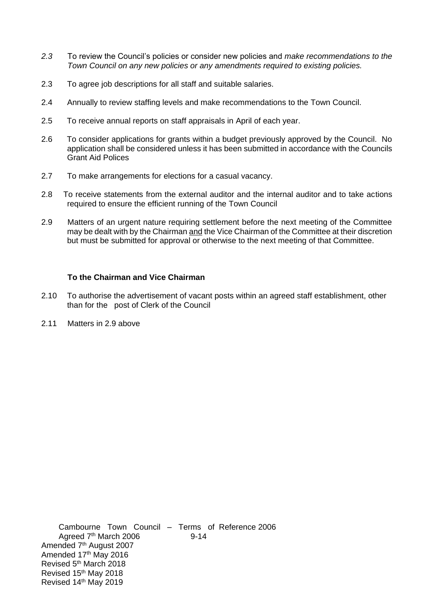- *2.3* To review the Council's policies or consider new policies and *make recommendations to the Town Council on any new policies or any amendments required to existing policies.*
- 2.3 To agree job descriptions for all staff and suitable salaries.
- 2.4 Annually to review staffing levels and make recommendations to the Town Council.
- 2.5 To receive annual reports on staff appraisals in April of each year.
- 2.6 To consider applications for grants within a budget previously approved by the Council. No application shall be considered unless it has been submitted in accordance with the Councils Grant Aid Polices
- 2.7 To make arrangements for elections for a casual vacancy.
- 2.8 To receive statements from the external auditor and the internal auditor and to take actions required to ensure the efficient running of the Town Council
- 2.9 Matters of an urgent nature requiring settlement before the next meeting of the Committee may be dealt with by the Chairman and the Vice Chairman of the Committee at their discretion but must be submitted for approval or otherwise to the next meeting of that Committee.

#### **To the Chairman and Vice Chairman**

- 2.10 To authorise the advertisement of vacant posts within an agreed staff establishment, other than for the post of Clerk of the Council
- 2.11 Matters in 2.9 above

Cambourne Town Council – Terms of Reference 2006 Agreed 7<sup>th</sup> March 2006 9-14 Amended 7<sup>th</sup> August 2007 Amended 17th May 2016 Revised 5th March 2018 Revised 15th May 2018 Revised 14th May 2019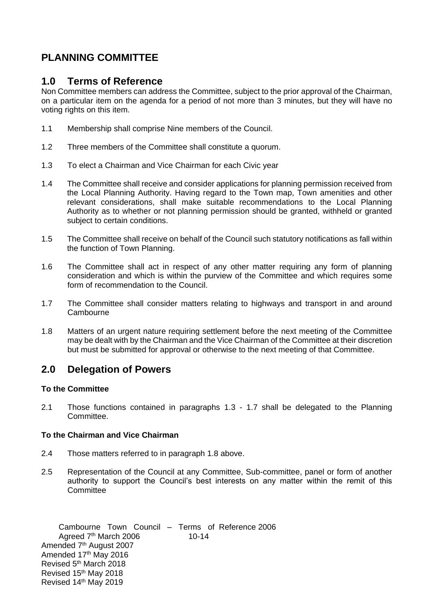# **PLANNING COMMITTEE**

## **1.0 Terms of Reference**

Non Committee members can address the Committee, subject to the prior approval of the Chairman, on a particular item on the agenda for a period of not more than 3 minutes, but they will have no voting rights on this item.

- 1.1 Membership shall comprise Nine members of the Council.
- 1.2 Three members of the Committee shall constitute a quorum.
- 1.3 To elect a Chairman and Vice Chairman for each Civic year
- 1.4 The Committee shall receive and consider applications for planning permission received from the Local Planning Authority. Having regard to the Town map, Town amenities and other relevant considerations, shall make suitable recommendations to the Local Planning Authority as to whether or not planning permission should be granted, withheld or granted subject to certain conditions.
- 1.5 The Committee shall receive on behalf of the Council such statutory notifications as fall within the function of Town Planning.
- 1.6 The Committee shall act in respect of any other matter requiring any form of planning consideration and which is within the purview of the Committee and which requires some form of recommendation to the Council.
- 1.7 The Committee shall consider matters relating to highways and transport in and around **Cambourne**
- 1.8 Matters of an urgent nature requiring settlement before the next meeting of the Committee may be dealt with by the Chairman and the Vice Chairman of the Committee at their discretion but must be submitted for approval or otherwise to the next meeting of that Committee.

## **2.0 Delegation of Powers**

#### **To the Committee**

2.1 Those functions contained in paragraphs 1.3 - 1.7 shall be delegated to the Planning Committee.

#### **To the Chairman and Vice Chairman**

- 2.4 Those matters referred to in paragraph 1.8 above.
- 2.5 Representation of the Council at any Committee, Sub-committee, panel or form of another authority to support the Council's best interests on any matter within the remit of this **Committee**

Cambourne Town Council – Terms of Reference 2006 Agreed 7<sup>th</sup> March 2006 10-14 Amended 7<sup>th</sup> August 2007 Amended 17th May 2016 Revised 5th March 2018 Revised 15th May 2018 Revised 14th May 2019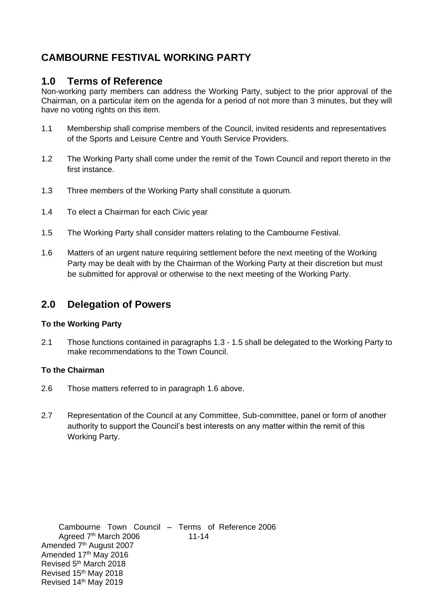# **CAMBOURNE FESTIVAL WORKING PARTY**

## **1.0 Terms of Reference**

Non-working party members can address the Working Party, subject to the prior approval of the Chairman, on a particular item on the agenda for a period of not more than 3 minutes, but they will have no voting rights on this item.

- 1.1 Membership shall comprise members of the Council, invited residents and representatives of the Sports and Leisure Centre and Youth Service Providers.
- 1.2 The Working Party shall come under the remit of the Town Council and report thereto in the first instance.
- 1.3 Three members of the Working Party shall constitute a quorum.
- 1.4 To elect a Chairman for each Civic year
- 1.5 The Working Party shall consider matters relating to the Cambourne Festival.
- 1.6 Matters of an urgent nature requiring settlement before the next meeting of the Working Party may be dealt with by the Chairman of the Working Party at their discretion but must be submitted for approval or otherwise to the next meeting of the Working Party.

#### **2.0 Delegation of Powers**

#### **To the Working Party**

2.1 Those functions contained in paragraphs 1.3 - 1.5 shall be delegated to the Working Party to make recommendations to the Town Council.

#### **To the Chairman**

- 2.6 Those matters referred to in paragraph 1.6 above.
- 2.7 Representation of the Council at any Committee, Sub-committee, panel or form of another authority to support the Council's best interests on any matter within the remit of this Working Party.

Cambourne Town Council – Terms of Reference 2006 Agreed 7<sup>th</sup> March 2006 11-14 Amended 7<sup>th</sup> August 2007 Amended 17th May 2016 Revised 5th March 2018 Revised 15th May 2018 Revised 14th May 2019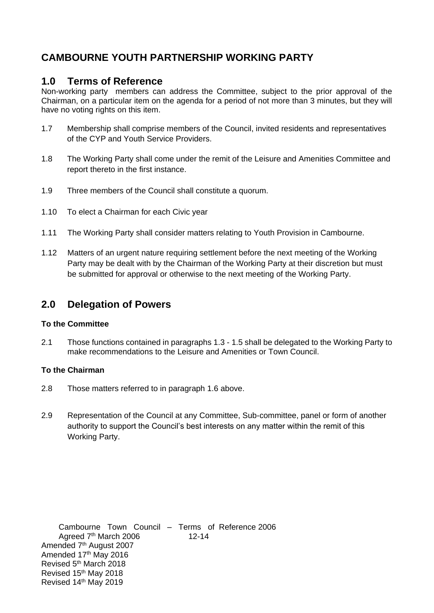# **CAMBOURNE YOUTH PARTNERSHIP WORKING PARTY**

## **1.0 Terms of Reference**

Non-working party members can address the Committee, subject to the prior approval of the Chairman, on a particular item on the agenda for a period of not more than 3 minutes, but they will have no voting rights on this item.

- 1.7 Membership shall comprise members of the Council, invited residents and representatives of the CYP and Youth Service Providers.
- 1.8 The Working Party shall come under the remit of the Leisure and Amenities Committee and report thereto in the first instance.
- 1.9 Three members of the Council shall constitute a quorum.
- 1.10 To elect a Chairman for each Civic year
- 1.11 The Working Party shall consider matters relating to Youth Provision in Cambourne.
- 1.12 Matters of an urgent nature requiring settlement before the next meeting of the Working Party may be dealt with by the Chairman of the Working Party at their discretion but must be submitted for approval or otherwise to the next meeting of the Working Party.

## **2.0 Delegation of Powers**

#### **To the Committee**

2.1 Those functions contained in paragraphs 1.3 - 1.5 shall be delegated to the Working Party to make recommendations to the Leisure and Amenities or Town Council.

#### **To the Chairman**

- 2.8 Those matters referred to in paragraph 1.6 above.
- 2.9 Representation of the Council at any Committee, Sub-committee, panel or form of another authority to support the Council's best interests on any matter within the remit of this Working Party.

Cambourne Town Council – Terms of Reference 2006 Agreed 7<sup>th</sup> March 2006 12-14 Amended 7<sup>th</sup> August 2007 Amended 17th May 2016 Revised 5th March 2018 Revised 15th May 2018 Revised 14th May 2019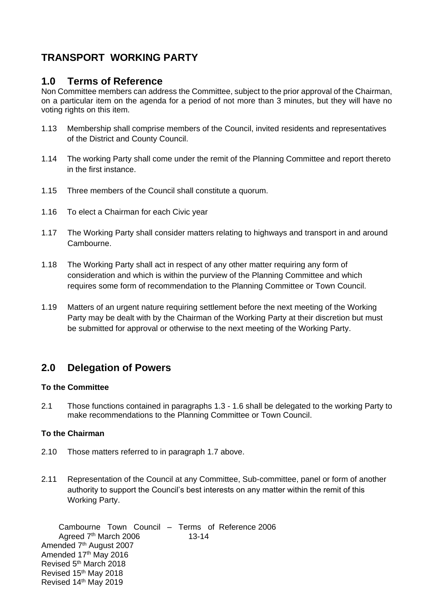# **TRANSPORT WORKING PARTY**

## **1.0 Terms of Reference**

Non Committee members can address the Committee, subject to the prior approval of the Chairman, on a particular item on the agenda for a period of not more than 3 minutes, but they will have no voting rights on this item.

- 1.13 Membership shall comprise members of the Council, invited residents and representatives of the District and County Council.
- 1.14 The working Party shall come under the remit of the Planning Committee and report thereto in the first instance.
- 1.15 Three members of the Council shall constitute a quorum.
- 1.16 To elect a Chairman for each Civic year
- 1.17 The Working Party shall consider matters relating to highways and transport in and around Cambourne.
- 1.18 The Working Party shall act in respect of any other matter requiring any form of consideration and which is within the purview of the Planning Committee and which requires some form of recommendation to the Planning Committee or Town Council.
- 1.19 Matters of an urgent nature requiring settlement before the next meeting of the Working Party may be dealt with by the Chairman of the Working Party at their discretion but must be submitted for approval or otherwise to the next meeting of the Working Party.

## **2.0 Delegation of Powers**

#### **To the Committee**

2.1 Those functions contained in paragraphs 1.3 - 1.6 shall be delegated to the working Party to make recommendations to the Planning Committee or Town Council.

#### **To the Chairman**

- 2.10 Those matters referred to in paragraph 1.7 above.
- 2.11 Representation of the Council at any Committee, Sub-committee, panel or form of another authority to support the Council's best interests on any matter within the remit of this Working Party.

Cambourne Town Council – Terms of Reference 2006 Agreed 7<sup>th</sup> March 2006 13-14 Amended 7<sup>th</sup> August 2007 Amended 17th May 2016 Revised 5th March 2018 Revised 15th May 2018 Revised 14th May 2019